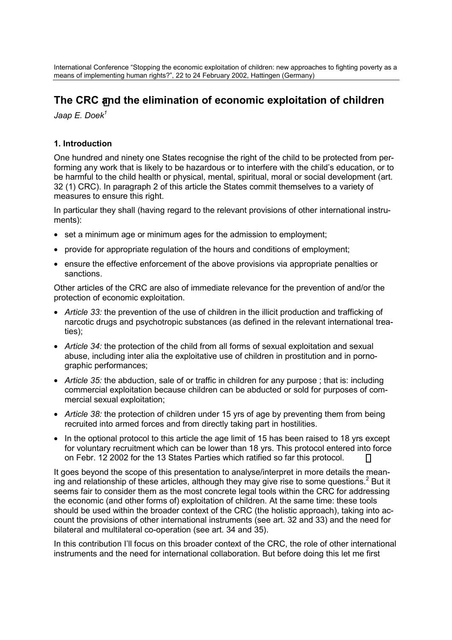International Conference "Stopping the economic exploitation of children: new approaches to fighting poverty as a means of implementing human rights?", 22 to 24 February 2002, Hattingen (Germany)

# **The CRC [an](#page-5-0)d the elimination of economic exploitation of children**

*Jaap E. Doek1*

### **1. Introduction**

One hundred and ninety one States recognise the right of the child to be protected from performing any work that is likely to be hazardous or to interfere with the child's education, or to be harmful to the child health or physical, mental, spiritual, moral or social development (art. 32 (1) CRC). In paragraph 2 of this article the States commit themselves to a variety of measures to ensure this right.

In particular they shall (having regard to the relevant provisions of other international instruments):

- set a minimum age or minimum ages for the admission to employment;
- provide for appropriate regulation of the hours and conditions of employment;
- ensure the effective enforcement of the above provisions via appropriate penalties or sanctions.

Other articles of the CRC are also of immediate relevance for the prevention of and/or the protection of economic exploitation.

- *Article 33:* the prevention of the use of children in the illicit production and trafficking of narcotic drugs and psychotropic substances (as defined in the relevant international treaties);
- *Article 34:* the protection of the child from all forms of sexual exploitation and sexual abuse, including inter alia the exploitative use of children in prostitution and in pornographic performances;
- *Article 35:* the abduction, sale of or traffic in children for any purpose ; that is: including commercial exploitation because children can be abducted or sold for purposes of commercial sexual exploitation;
- *Article 38:* the protection of children under 15 yrs of age by preventing them from being recruited into armed forces and from directly taking part in hostilities.
- In the optional protocol to this article the age limit of 15 has been raised to 18 yrs except for voluntary recruitment which can be lower than 18 yrs. This protocol entered into force on Febr. 12 2002 for the 13 States Parties which ratified so far this protocol.

It goes beyond the scope of this presentation to analyse/interpret in more details the meaning and relationship of these articles, although they may give rise to some questions.<sup>2</sup> But it seems fair to consider them as the most concrete legal tools within the CRC for addressing the economic (and other forms of) exploitation of children. At the same time: these tools should be used within the broader context of the CRC (the holistic approach), taking into account the provisions of other international instruments (see art. 32 and 33) and the need for bilateral and multilateral co-operation (see art. 34 and 35).

In this contribution I'll focus on this broader context of the CRC, the role of other international instruments and the need for international collaboration. But before doing this let me first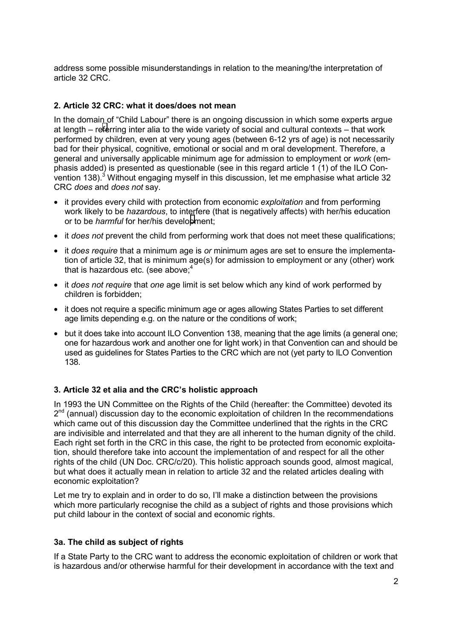address some possible misunderstandings in relation to the meaning/the interpretation of article 32 CRC.

## **2. Article 32 CRC: what it does/does not mean**

In the domain of "Child Labour" there is an ongoing discussion in which some experts argue at length – r[efe](#page-5-0)rring inter alia to the wide variety of social and cultural contexts – that work performed by children, even at very young ages (between 6-12 yrs of age) is not necessarily bad for their physical, cognitive, emotional or social and m oral development. Therefore, a general and universally applicable minimum age for admission to employment or *work* (emphasis added) is presented as questionable (see in this regard article 1 (1) of the ILO Convention 138).<sup>3</sup> Without engaging myself in this discussion, let me emphasise what article 32 CRC *does* and *does not* say.

- it provides every child with protection from economic *exploitation* and from performing work likely to be *hazardous*, to interfere (that is negatively affects) with her/his education or to be *harmful* for her/his develo[pm](#page-5-0)ent;
- it *does not* prevent the child from performing work that does not meet these qualifications;
- it *does require* that a minimum age is *or* minimum ages are set to ensure the implementation of article 32, that is minimum age(s) for admission to employment or any (other) work that is hazardous etc. (see above; $4$
- it *does not require* that *one* age limit is set below which any kind of work performed by children is forbidden;
- it does not require a specific minimum age or ages allowing States Parties to set different age limits depending e.g. on the nature or the conditions of work;
- but it does take into account ILO Convention 138, meaning that the age limits (a general one; one for hazardous work and another one for light work) in that Convention can and should be used as guidelines for States Parties to the CRC which are not (yet party to ILO Convention 138.

### **3. Article 32 et alia and the CRC's holistic approach**

In 1993 the UN Committee on the Rights of the Child (hereafter: the Committee) devoted its  $2<sup>nd</sup>$  (annual) discussion day to the economic exploitation of children In the recommendations which came out of this discussion day the Committee underlined that the rights in the CRC are indivisible and interrelated and that they are all inherent to the human dignity of the child. Each right set forth in the CRC in this case, the right to be protected from economic exploitation, should therefore take into account the implementation of and respect for all the other rights of the child (UN Doc. CRC/c/20). This holistic approach sounds good, almost magical, but what does it actually mean in relation to article 32 and the related articles dealing with economic exploitation?

Let me try to explain and in order to do so, I'll make a distinction between the provisions which more particularly recognise the child as a subject of rights and those provisions which put child labour in the context of social and economic rights.

### **3a. The child as subject of rights**

If a State Party to the CRC want to address the economic exploitation of children or work that is hazardous and/or otherwise harmful for their development in accordance with the text and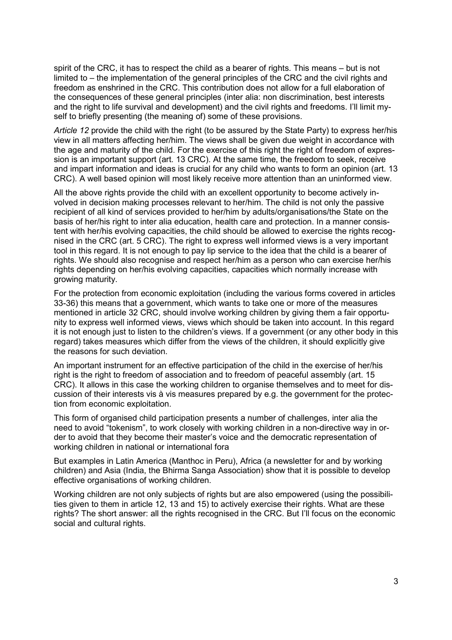spirit of the CRC, it has to respect the child as a bearer of rights. This means – but is not limited to – the implementation of the general principles of the CRC and the civil rights and freedom as enshrined in the CRC. This contribution does not allow for a full elaboration of the consequences of these general principles (inter alia: non discrimination, best interests and the right to life survival and development) and the civil rights and freedoms. I'll limit myself to briefly presenting (the meaning of) some of these provisions.

*Article 12* provide the child with the right (to be assured by the State Party) to express her/his view in all matters affecting her/him. The views shall be given due weight in accordance with the age and maturity of the child. For the exercise of this right the right of freedom of expression is an important support (art. 13 CRC). At the same time, the freedom to seek, receive and impart information and ideas is crucial for any child who wants to form an opinion (art. 13 CRC). A well based opinion will most likely receive more attention than an uninformed view.

All the above rights provide the child with an excellent opportunity to become actively involved in decision making processes relevant to her/him. The child is not only the passive recipient of all kind of services provided to her/him by adults/organisations/the State on the basis of her/his right to inter alia education, health care and protection. In a manner consistent with her/his evolving capacities, the child should be allowed to exercise the rights recognised in the CRC (art. 5 CRC). The right to express well informed views is a very important tool in this regard. It is not enough to pay lip service to the idea that the child is a bearer of rights. We should also recognise and respect her/him as a person who can exercise her/his rights depending on her/his evolving capacities, capacities which normally increase with growing maturity.

For the protection from economic exploitation (including the various forms covered in articles 33-36) this means that a government, which wants to take one or more of the measures mentioned in article 32 CRC, should involve working children by giving them a fair opportunity to express well informed views, views which should be taken into account. In this regard it is not enough just to listen to the children's views. If a government (or any other body in this regard) takes measures which differ from the views of the children, it should explicitly give the reasons for such deviation.

An important instrument for an effective participation of the child in the exercise of her/his right is the right to freedom of association and to freedom of peaceful assembly (art. 15 CRC). It allows in this case the working children to organise themselves and to meet for discussion of their interests vis à vis measures prepared by e.g. the government for the protection from economic exploitation.

This form of organised child participation presents a number of challenges, inter alia the need to avoid "tokenism", to work closely with working children in a non-directive way in order to avoid that they become their master's voice and the democratic representation of working children in national or international fora

But examples in Latin America (Manthoc in Peru), Africa (a newsletter for and by working children) and Asia (India, the Bhirma Sanga Association) show that it is possible to develop effective organisations of working children.

Working children are not only subjects of rights but are also empowered (using the possibilities given to them in article 12, 13 and 15) to actively exercise their rights. What are these rights? The short answer: all the rights recognised in the CRC. But I'll focus on the economic social and cultural rights.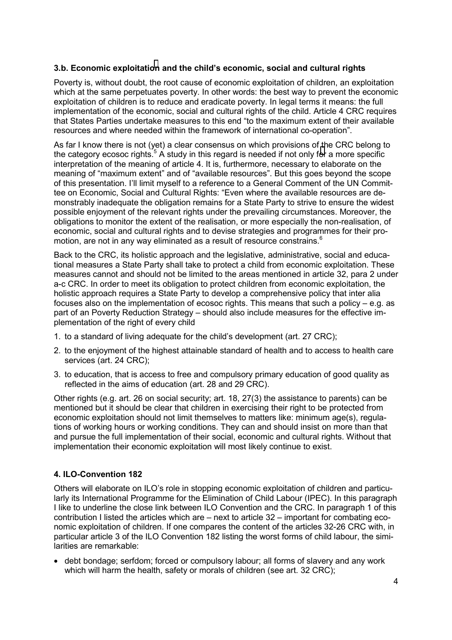### **3.b. Economic exploitati[on](#page-5-0) and the child's economic, social and cultural rights**

Poverty is, without doubt, the root cause of economic exploitation of children, an exploitation which at the same perpetuates poverty. In other words: the best way to prevent the economic exploitation of children is to reduce and eradicate poverty. In legal terms it means: the full implementation of the economic, social and cultural rights of the child. Article 4 CRC requires that States Parties undertake measures to this end "to the maximum extent of their available resources and where needed within the framework of international co-operation".

As far I know there is not (yet) a clear consensus on which provisions of the CRC belong to the categ[or](#page-5-0)y ecosoc rights.<sup>5</sup> A study in this regard is needed if not only for a more specific interpretation of the meaning of article 4. It is, furthermore, necessary to elaborate on the meaning of "maximum extent" and of "available resources". But this goes beyond the scope of this presentation. I'll limit myself to a reference to a General Comment of the UN Committee on Economic, Social and Cultural Rights: "Even where the available resources are demonstrably inadequate the obligation remains for a State Party to strive to ensure the widest possible enjoyment of the relevant rights under the prevailing circumstances. Moreover, the obligations to monitor the extent of the realisation, or more especially the non-realisation, of economic, social and cultural rights and to devise strategies and programmes for their promotion, are not in any way eliminated as a result of resource constrains.<sup>6</sup>

Back to the CRC, its holistic approach and the legislative, administrative, social and educational measures a State Party shall take to protect a child from economic exploitation. These measures cannot and should not be limited to the areas mentioned in article 32, para 2 under a-c CRC. In order to meet its obligation to protect children from economic exploitation, the holistic approach requires a State Party to develop a comprehensive policy that inter alia focuses also on the implementation of ecosoc rights. This means that such a policy – e.g. as part of an Poverty Reduction Strategy – should also include measures for the effective implementation of the right of every child

- 1. to a standard of living adequate for the child's development (art. 27 CRC);
- 2. to the enjoyment of the highest attainable standard of health and to access to health care services (art. 24 CRC);
- 3. to education, that is access to free and compulsory primary education of good quality as reflected in the aims of education (art. 28 and 29 CRC).

Other rights (e.g. art. 26 on social security; art. 18, 27(3) the assistance to parents) can be mentioned but it should be clear that children in exercising their right to be protected from economic exploitation should not limit themselves to matters like: minimum age(s), regulations of working hours or working conditions. They can and should insist on more than that and pursue the full implementation of their social, economic and cultural rights. Without that implementation their economic exploitation will most likely continue to exist.

### **4. ILO-Convention 182**

Others will elaborate on ILO's role in stopping economic exploitation of children and particularly its International Programme for the Elimination of Child Labour (IPEC). In this paragraph I like to underline the close link between ILO Convention and the CRC. In paragraph 1 of this contribution I listed the articles which are – next to article 32 – important for combating economic exploitation of children. If one compares the content of the articles 32-26 CRC with, in particular article 3 of the ILO Convention 182 listing the worst forms of child labour, the similarities are remarkable:

• debt bondage; serfdom; forced or compulsory labour; all forms of slavery and any work which will harm the health, safety or morals of children (see art. 32 CRC);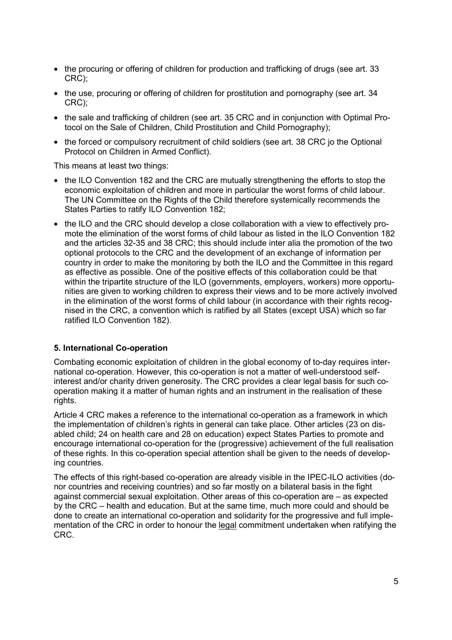- the procuring or offering of children for production and trafficking of drugs (see art. 33 CRC);
- the use, procuring or offering of children for prostitution and pornography (see art. 34) CRC);
- the sale and trafficking of children (see art. 35 CRC and in conjunction with Optimal Protocol on the Sale of Children, Child Prostitution and Child Pornography);
- the forced or compulsory recruitment of child soldiers (see art. 38 CRC jo the Optional Protocol on Children in Armed Conflict).

This means at least two things:

- the ILO Convention 182 and the CRC are mutually strengthening the efforts to stop the economic exploitation of children and more in particular the worst forms of child labour. The UN Committee on the Rights of the Child therefore systemically recommends the States Parties to ratify ILO Convention 182;
- the ILO and the CRC should develop a close collaboration with a view to effectively promote the elimination of the worst forms of child labour as listed in the ILO Convention 182 and the articles 32-35 and 38 CRC; this should include inter alia the promotion of the two optional protocols to the CRC and the development of an exchange of information per country in order to make the monitoring by both the ILO and the Committee in this regard as effective as possible. One of the positive effects of this collaboration could be that within the tripartite structure of the ILO (governments, employers, workers) more opportunities are given to working children to express their views and to be more actively involved in the elimination of the worst forms of child labour (in accordance with their rights recognised in the CRC, a convention which is ratified by all States (except USA) which so far ratified ILO Convention 182).

### **5. International Co-operation**

Combating economic exploitation of children in the global economy of to-day requires international co-operation. However, this co-operation is not a matter of well-understood selfinterest and/or charity driven generosity. The CRC provides a clear legal basis for such cooperation making it a matter of human rights and an instrument in the realisation of these rights.

Article 4 CRC makes a reference to the international co-operation as a framework in which the implementation of children's rights in general can take place. Other articles (23 on disabled child; 24 on health care and 28 on education) expect States Parties to promote and encourage international co-operation for the (progressive) achievement of the full realisation of these rights. In this co-operation special attention shall be given to the needs of developing countries.

The effects of this right-based co-operation are already visible in the IPEC-ILO activities (donor countries and receiving countries) and so far mostly on a bilateral basis in the fight against commercial sexual exploitation. Other areas of this co-operation are – as expected by the CRC – health and education. But at the same time, much more could and should be done to create an international co-operation and solidarity for the progressive and full implementation of the CRC in order to honour the legal commitment undertaken when ratifying the CRC.